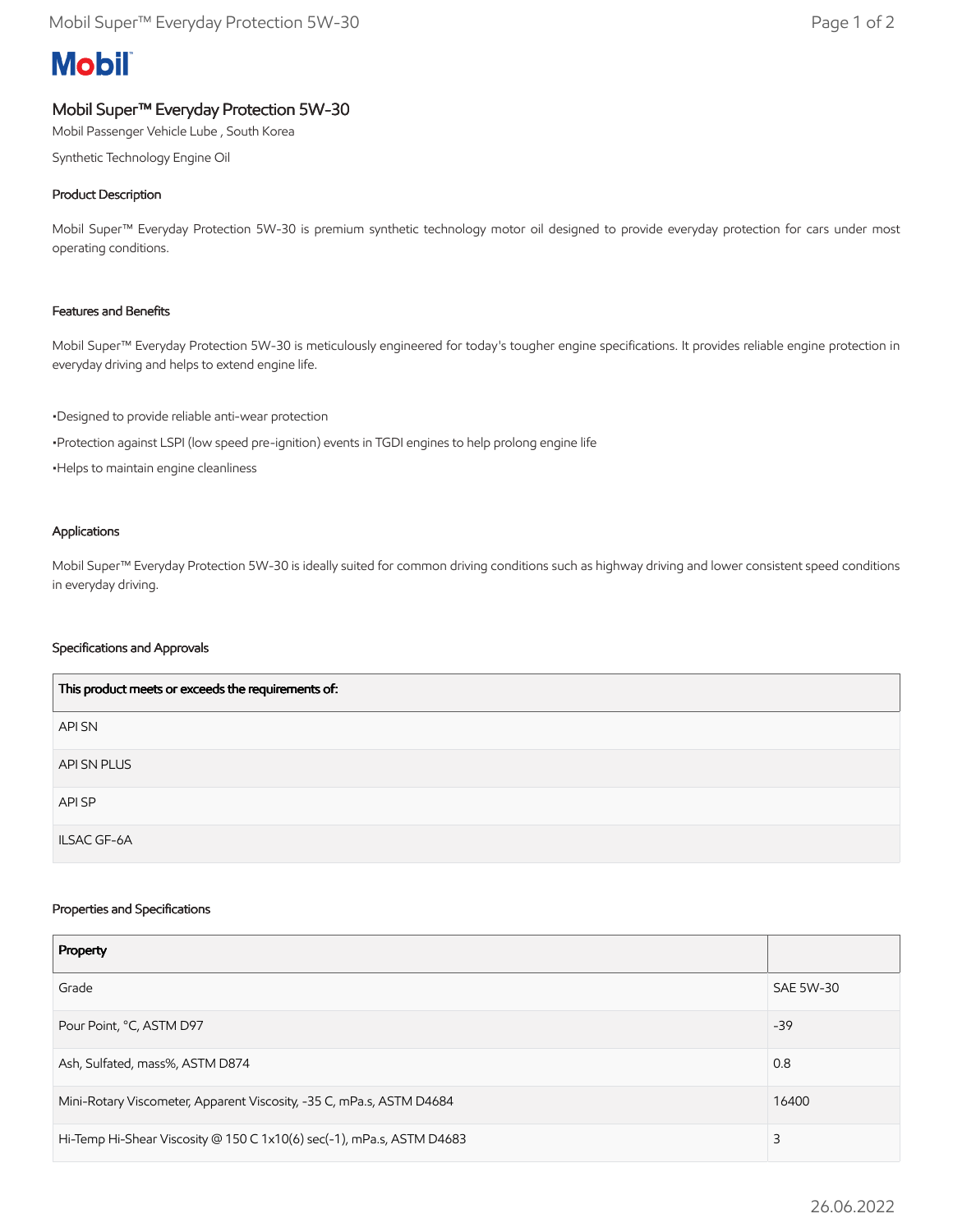# **Mobil**

## Mobil Super™ Everyday Protection 5W-30

Mobil Passenger Vehicle Lube , South Korea

Synthetic Technology Engine Oil

### Product Description

Mobil Super™ Everyday Protection 5W-30 is premium synthetic technology motor oil designed to provide everyday protection for cars under most operating conditions.

#### Features and Benefits

Mobil Super™ Everyday Protection 5W-30 is meticulously engineered for today's tougher engine specifications. It provides reliable engine protection in everyday driving and helps to extend engine life.

•Designed to provide reliable anti-wear protection

•Protection against LSPI (low speed pre-ignition) events in TGDI engines to help prolong engine life

•Helps to maintain engine cleanliness

#### Applications

Mobil Super™ Everyday Protection 5W-30 is ideally suited for common driving conditions such as highway driving and lower consistent speed conditions in everyday driving.

#### Specifications and Approvals

| This product meets or exceeds the requirements of: |
|----------------------------------------------------|
| API SN                                             |
| API SN PLUS                                        |
| API SP                                             |
| <b>ILSAC GF-6A</b>                                 |

#### Properties and Specifications

| Property                                                              |                  |
|-----------------------------------------------------------------------|------------------|
| Grade                                                                 | <b>SAE 5W-30</b> |
| Pour Point, °C, ASTM D97                                              | $-39$            |
| Ash, Sulfated, mass%, ASTM D874                                       | 0.8              |
| Mini-Rotary Viscometer, Apparent Viscosity, -35 C, mPa.s, ASTM D4684  | 16400            |
| Hi-Temp Hi-Shear Viscosity @ 150 C 1x10(6) sec(-1), mPa.s, ASTM D4683 | 3                |